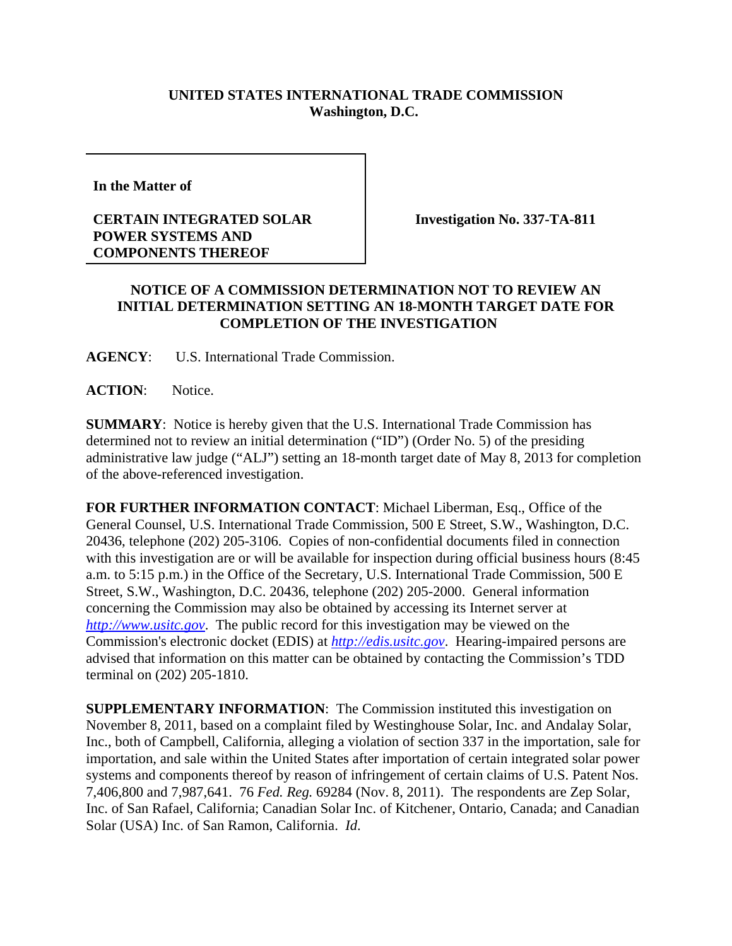## **UNITED STATES INTERNATIONAL TRADE COMMISSION Washington, D.C.**

**In the Matter of** 

## **CERTAIN INTEGRATED SOLAR POWER SYSTEMS AND COMPONENTS THEREOF**

**Investigation No. 337-TA-811**

## **NOTICE OF A COMMISSION DETERMINATION NOT TO REVIEW AN INITIAL DETERMINATION SETTING AN 18-MONTH TARGET DATE FOR COMPLETION OF THE INVESTIGATION**

**AGENCY**: U.S. International Trade Commission.

**ACTION**: Notice.

**SUMMARY**: Notice is hereby given that the U.S. International Trade Commission has determined not to review an initial determination ("ID") (Order No. 5) of the presiding administrative law judge ("ALJ") setting an 18-month target date of May 8, 2013 for completion of the above-referenced investigation.

**FOR FURTHER INFORMATION CONTACT**: Michael Liberman, Esq., Office of the General Counsel, U.S. International Trade Commission, 500 E Street, S.W., Washington, D.C. 20436, telephone (202) 205-3106. Copies of non-confidential documents filed in connection with this investigation are or will be available for inspection during official business hours (8:45 a.m. to 5:15 p.m.) in the Office of the Secretary, U.S. International Trade Commission, 500 E Street, S.W., Washington, D.C. 20436, telephone (202) 205-2000. General information concerning the Commission may also be obtained by accessing its Internet server at *http://www.usitc.gov*. The public record for this investigation may be viewed on the Commission's electronic docket (EDIS) at *http://edis.usitc.gov*. Hearing-impaired persons are advised that information on this matter can be obtained by contacting the Commission's TDD terminal on (202) 205-1810.

**SUPPLEMENTARY INFORMATION:** The Commission instituted this investigation on November 8, 2011, based on a complaint filed by Westinghouse Solar, Inc. and Andalay Solar, Inc., both of Campbell, California, alleging a violation of section 337 in the importation, sale for importation, and sale within the United States after importation of certain integrated solar power systems and components thereof by reason of infringement of certain claims of U.S. Patent Nos. 7,406,800 and 7,987,641. 76 *Fed. Reg.* 69284 (Nov. 8, 2011). The respondents are Zep Solar, Inc. of San Rafael, California; Canadian Solar Inc. of Kitchener, Ontario, Canada; and Canadian Solar (USA) Inc. of San Ramon, California. *Id*.